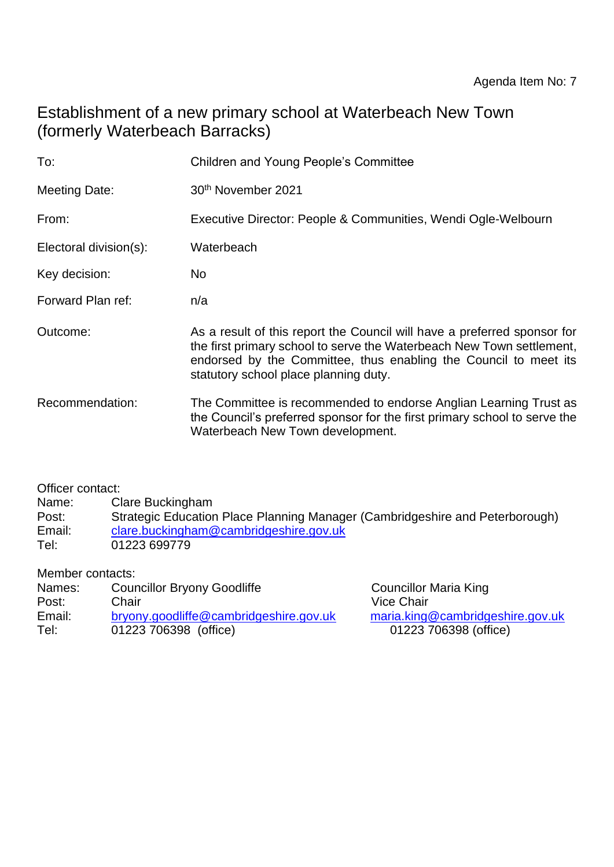# Establishment of a new primary school at Waterbeach New Town (formerly Waterbeach Barracks)

| To:                    | <b>Children and Young People's Committee</b>                                                                                                                                                                                                                   |  |  |  |
|------------------------|----------------------------------------------------------------------------------------------------------------------------------------------------------------------------------------------------------------------------------------------------------------|--|--|--|
| <b>Meeting Date:</b>   | 30 <sup>th</sup> November 2021                                                                                                                                                                                                                                 |  |  |  |
| From:                  | Executive Director: People & Communities, Wendi Ogle-Welbourn                                                                                                                                                                                                  |  |  |  |
| Electoral division(s): | Waterbeach                                                                                                                                                                                                                                                     |  |  |  |
| Key decision:          | No.                                                                                                                                                                                                                                                            |  |  |  |
| Forward Plan ref:      | n/a                                                                                                                                                                                                                                                            |  |  |  |
| Outcome:               | As a result of this report the Council will have a preferred sponsor for<br>the first primary school to serve the Waterbeach New Town settlement,<br>endorsed by the Committee, thus enabling the Council to meet its<br>statutory school place planning duty. |  |  |  |
| Recommendation:        | The Committee is recommended to endorse Anglian Learning Trust as<br>the Council's preferred sponsor for the first primary school to serve the<br>Waterbeach New Town development.                                                                             |  |  |  |

Officer contact:<br>Name: Cl

Clare Buckingham

Post: Strategic Education Place Planning Manager (Cambridgeshire and Peterborough) Email: [clare.buckingham@cambridgeshire.gov.uk](mailto:clare.buckingham@cambridgeshire.gov.uk) Tel: 01223 699779

| Member contacts:                                                             |                                  |
|------------------------------------------------------------------------------|----------------------------------|
| <b>Councillor Bryony Goodliffe</b><br><b>Councillor Maria King</b><br>Names: |                                  |
| Vice Chair<br>Chair<br>Post:                                                 |                                  |
| Email:<br>bryony.goodliffe@cambridgeshire.gov.uk                             | maria.king@cambridgeshire.gov.uk |
| Tel:<br>01223 706398 (office)<br>01223 706398 (office)                       |                                  |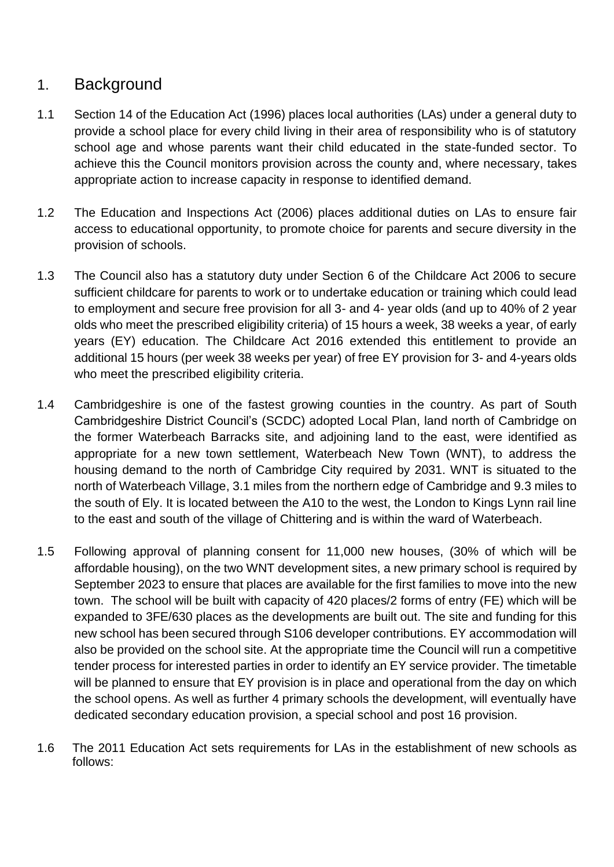### 1. Background

- 1.1 Section 14 of the Education Act (1996) places local authorities (LAs) under a general duty to provide a school place for every child living in their area of responsibility who is of statutory school age and whose parents want their child educated in the state-funded sector. To achieve this the Council monitors provision across the county and, where necessary, takes appropriate action to increase capacity in response to identified demand.
- 1.2 The Education and Inspections Act (2006) places additional duties on LAs to ensure fair access to educational opportunity, to promote choice for parents and secure diversity in the provision of schools.
- 1.3 The Council also has a statutory duty under Section 6 of the Childcare Act 2006 to secure sufficient childcare for parents to work or to undertake education or training which could lead to employment and secure free provision for all 3- and 4- year olds (and up to 40% of 2 year olds who meet the prescribed eligibility criteria) of 15 hours a week, 38 weeks a year, of early years (EY) education. The Childcare Act 2016 extended this entitlement to provide an additional 15 hours (per week 38 weeks per year) of free EY provision for 3- and 4-years olds who meet the prescribed eligibility criteria.
- 1.4 Cambridgeshire is one of the fastest growing counties in the country. As part of South Cambridgeshire District Council's (SCDC) adopted Local Plan, land north of Cambridge on the former Waterbeach Barracks site, and adjoining land to the east, were identified as appropriate for a new town settlement, Waterbeach New Town (WNT), to address the housing demand to the north of Cambridge City required by 2031. WNT is situated to the north of Waterbeach Village, 3.1 miles from the northern edge of Cambridge and 9.3 miles to the south of Ely. It is located between the A10 to the west, the London to Kings Lynn rail line to the east and south of the village of Chittering and is within the ward of Waterbeach.
- 1.5 Following approval of planning consent for 11,000 new houses, (30% of which will be affordable housing), on the two WNT development sites, a new primary school is required by September 2023 to ensure that places are available for the first families to move into the new town. The school will be built with capacity of 420 places/2 forms of entry (FE) which will be expanded to 3FE/630 places as the developments are built out. The site and funding for this new school has been secured through S106 developer contributions. EY accommodation will also be provided on the school site. At the appropriate time the Council will run a competitive tender process for interested parties in order to identify an EY service provider. The timetable will be planned to ensure that EY provision is in place and operational from the day on which the school opens. As well as further 4 primary schools the development, will eventually have dedicated secondary education provision, a special school and post 16 provision.
- 1.6 The 2011 Education Act sets requirements for LAs in the establishment of new schools as follows: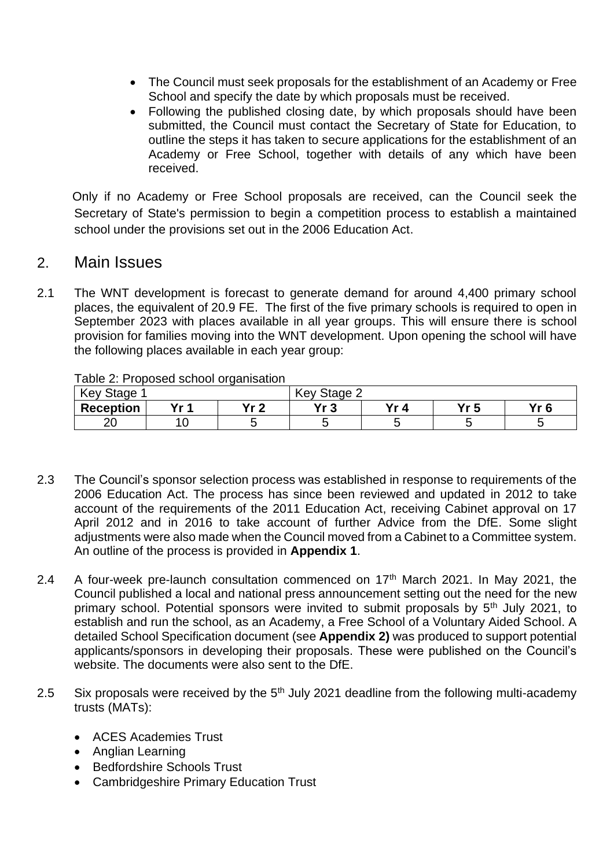- The Council must seek proposals for the establishment of an Academy or Free School and specify the date by which proposals must be received.
- Following the published closing date, by which proposals should have been submitted, the Council must contact the Secretary of State for Education, to outline the steps it has taken to secure applications for the establishment of an Academy or Free School, together with details of any which have been received.

Only if no Academy or Free School proposals are received, can the Council seek the Secretary of State's permission to begin a competition process to establish a maintained school under the provisions set out in the 2006 Education Act.

#### 2. Main Issues

2.1 The WNT development is forecast to generate demand for around 4,400 primary school places, the equivalent of 20.9 FE. The first of the five primary schools is required to open in September 2023 with places available in all year groups. This will ensure there is school provision for families moving into the WNT development. Upon opening the school will have the following places available in each year group:

| rable z. Proposed scribol organisation |      |           |             |      |     |      |  |  |  |  |
|----------------------------------------|------|-----------|-------------|------|-----|------|--|--|--|--|
| Key Stage 1                            |      |           | Key Stage 2 |      |     |      |  |  |  |  |
| <b>Reception</b>                       | v. 1 | $v_{r}$ ? | ひょっ         | Yr 4 | Yr5 | Yr 6 |  |  |  |  |
| 20                                     |      |           |             |      |     |      |  |  |  |  |

Table 2: Proposed school organisation

- 2.3 The Council's sponsor selection process was established in response to requirements of the 2006 Education Act. The process has since been reviewed and updated in 2012 to take account of the requirements of the 2011 Education Act, receiving Cabinet approval on 17 April 2012 and in 2016 to take account of further Advice from the DfE. Some slight adjustments were also made when the Council moved from a Cabinet to a Committee system. An outline of the process is provided in **Appendix 1**.
- 2.4 A four-week pre-launch consultation commenced on  $17<sup>th</sup>$  March 2021. In May 2021, the Council published a local and national press announcement setting out the need for the new primary school. Potential sponsors were invited to submit proposals by 5<sup>th</sup> July 2021, to establish and run the school, as an Academy, a Free School of a Voluntary Aided School. A detailed School Specification document (see **Appendix 2)** was produced to support potential applicants/sponsors in developing their proposals. These were published on the Council's website. The documents were also sent to the DfE.
- 2.5 Six proposals were received by the  $5<sup>th</sup>$  July 2021 deadline from the following multi-academy trusts (MATs):
	- ACES Academies Trust
	- Anglian Learning
	- Bedfordshire Schools Trust
	- Cambridgeshire Primary Education Trust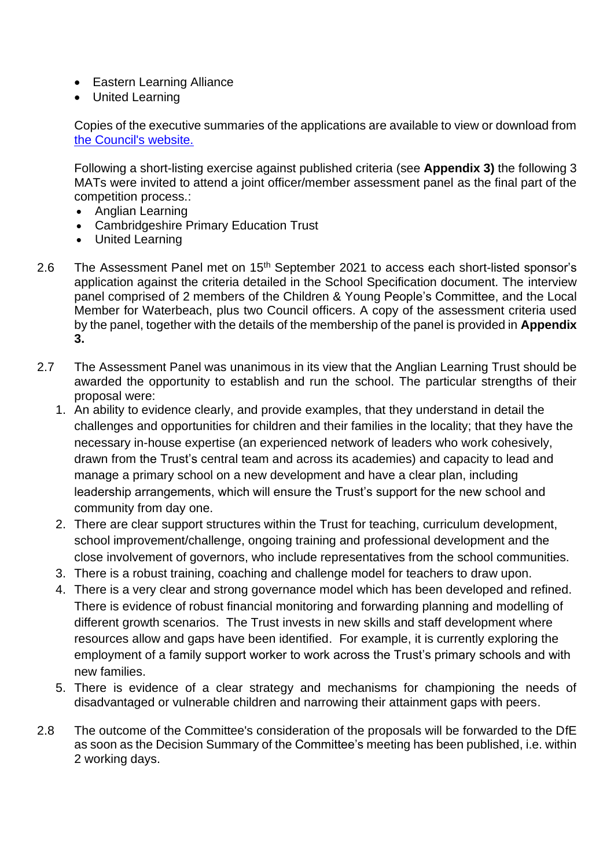- Eastern Learning Alliance
- United Learning

Copies of the executive summaries of the applications are available to view or download from [the Council's website.](https://www.cambridgeshire.gov.uk/residents/children-and-families/schools-learning/school-changes-consultations/new-primary-school-on-site-of-waterbeach-barracks-development) 

Following a short-listing exercise against published criteria (see **Appendix 3)** the following 3 MATs were invited to attend a joint officer/member assessment panel as the final part of the competition process.:

- Anglian Learning
- Cambridgeshire Primary Education Trust
- United Learning
- 2.6 The Assessment Panel met on 15<sup>th</sup> September 2021 to access each short-listed sponsor's application against the criteria detailed in the School Specification document. The interview panel comprised of 2 members of the Children & Young People's Committee, and the Local Member for Waterbeach, plus two Council officers. A copy of the assessment criteria used by the panel, together with the details of the membership of the panel is provided in **Appendix 3.**
- 2.7 The Assessment Panel was unanimous in its view that the Anglian Learning Trust should be awarded the opportunity to establish and run the school. The particular strengths of their proposal were:
	- 1. An ability to evidence clearly, and provide examples, that they understand in detail the challenges and opportunities for children and their families in the locality; that they have the necessary in-house expertise (an experienced network of leaders who work cohesively, drawn from the Trust's central team and across its academies) and capacity to lead and manage a primary school on a new development and have a clear plan, including leadership arrangements, which will ensure the Trust's support for the new school and community from day one.
	- 2. There are clear support structures within the Trust for teaching, curriculum development, school improvement/challenge, ongoing training and professional development and the close involvement of governors, who include representatives from the school communities.
	- 3. There is a robust training, coaching and challenge model for teachers to draw upon.
	- 4. There is a very clear and strong governance model which has been developed and refined. There is evidence of robust financial monitoring and forwarding planning and modelling of different growth scenarios. The Trust invests in new skills and staff development where resources allow and gaps have been identified. For example, it is currently exploring the employment of a family support worker to work across the Trust's primary schools and with new families.
	- 5. There is evidence of a clear strategy and mechanisms for championing the needs of disadvantaged or vulnerable children and narrowing their attainment gaps with peers.
- 2.8 The outcome of the Committee's consideration of the proposals will be forwarded to the DfE as soon as the Decision Summary of the Committee's meeting has been published, i.e. within 2 working days.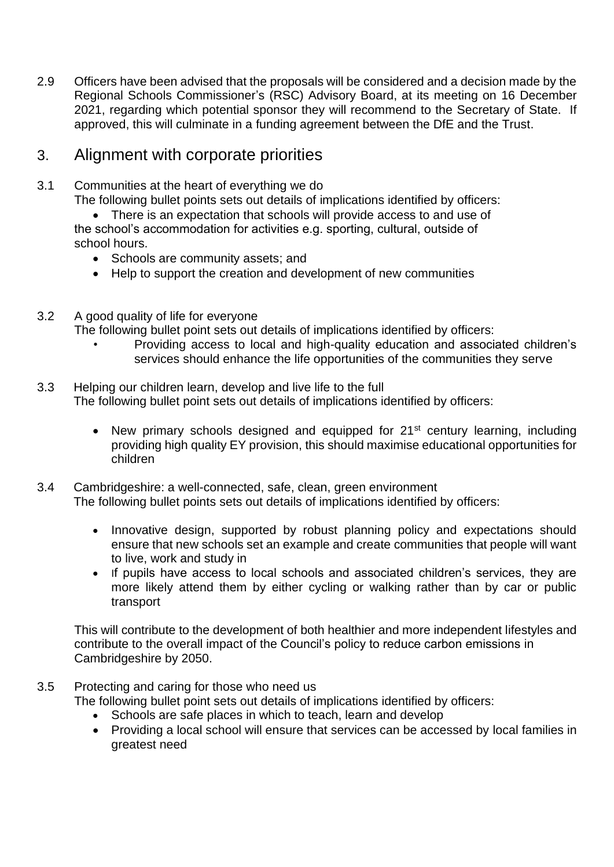2.9 Officers have been advised that the proposals will be considered and a decision made by the Regional Schools Commissioner's (RSC) Advisory Board, at its meeting on 16 December 2021, regarding which potential sponsor they will recommend to the Secretary of State. If approved, this will culminate in a funding agreement between the DfE and the Trust.

### 3. Alignment with corporate priorities

- 3.1 Communities at the heart of everything we do The following bullet points sets out details of implications identified by officers:
	- There is an expectation that schools will provide access to and use of the school's accommodation for activities e.g. sporting, cultural, outside of school hours.
		- Schools are community assets; and
		- Help to support the creation and development of new communities
- 3.2 A good quality of life for everyone

The following bullet point sets out details of implications identified by officers:

- Providing access to local and high-quality education and associated children's services should enhance the life opportunities of the communities they serve
- 3.3 Helping our children learn, develop and live life to the full The following bullet point sets out details of implications identified by officers:
	- New primary schools designed and equipped for  $21^{st}$  century learning, including providing high quality EY provision, this should maximise educational opportunities for children
- 3.4 Cambridgeshire: a well-connected, safe, clean, green environment The following bullet points sets out details of implications identified by officers:
	- Innovative design, supported by robust planning policy and expectations should ensure that new schools set an example and create communities that people will want to live, work and study in
	- If pupils have access to local schools and associated children's services, they are more likely attend them by either cycling or walking rather than by car or public transport

This will contribute to the development of both healthier and more independent lifestyles and contribute to the overall impact of the Council's policy to reduce carbon emissions in Cambridgeshire by 2050.

- 3.5 Protecting and caring for those who need us The following bullet point sets out details of implications identified by officers:
	- Schools are safe places in which to teach, learn and develop
	- Providing a local school will ensure that services can be accessed by local families in greatest need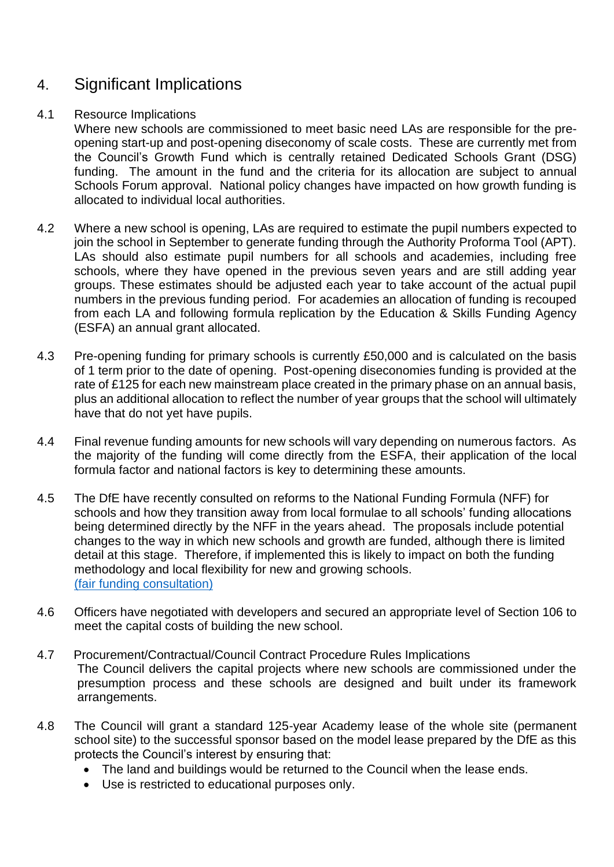## 4. Significant Implications

#### 4.1 Resource Implications

Where new schools are commissioned to meet basic need LAs are responsible for the preopening start-up and post-opening diseconomy of scale costs. These are currently met from the Council's Growth Fund which is centrally retained Dedicated Schools Grant (DSG) funding. The amount in the fund and the criteria for its allocation are subject to annual Schools Forum approval. National policy changes have impacted on how growth funding is allocated to individual local authorities.

- 4.2 Where a new school is opening, LAs are required to estimate the pupil numbers expected to join the school in September to generate funding through the Authority Proforma Tool (APT). LAs should also estimate pupil numbers for all schools and academies, including free schools, where they have opened in the previous seven years and are still adding year groups. These estimates should be adjusted each year to take account of the actual pupil numbers in the previous funding period. For academies an allocation of funding is recouped from each LA and following formula replication by the Education & Skills Funding Agency (ESFA) an annual grant allocated.
- 4.3 Pre-opening funding for primary schools is currently £50,000 and is calculated on the basis of 1 term prior to the date of opening. Post-opening diseconomies funding is provided at the rate of £125 for each new mainstream place created in the primary phase on an annual basis, plus an additional allocation to reflect the number of year groups that the school will ultimately have that do not yet have pupils.
- 4.4 Final revenue funding amounts for new schools will vary depending on numerous factors. As the majority of the funding will come directly from the ESFA, their application of the local formula factor and national factors is key to determining these amounts.
- 4.5 The DfE have recently consulted on reforms to the National Funding Formula (NFF) for schools and how they transition away from local formulae to all schools' funding allocations being determined directly by the NFF in the years ahead. The proposals include potential changes to the way in which new schools and growth are funded, although there is limited detail at this stage. Therefore, if implemented this is likely to impact on both the funding methodology and local flexibility for new and growing schools. [\(fair funding consultation\)](https://consult.education.gov.uk/funding-policy-unit/completing-our-reforms-to-the-nff/supporting_documents/Fair%20Funding%20For%20All%20Consultation.pdf)
- 4.6 Officers have negotiated with developers and secured an appropriate level of Section 106 to meet the capital costs of building the new school.
- 4.7 Procurement/Contractual/Council Contract Procedure Rules Implications The Council delivers the capital projects where new schools are commissioned under the presumption process and these schools are designed and built under its framework arrangements.
- 4.8 The Council will grant a standard 125-year Academy lease of the whole site (permanent school site) to the successful sponsor based on the model lease prepared by the DfE as this protects the Council's interest by ensuring that:
	- The land and buildings would be returned to the Council when the lease ends.
	- Use is restricted to educational purposes only.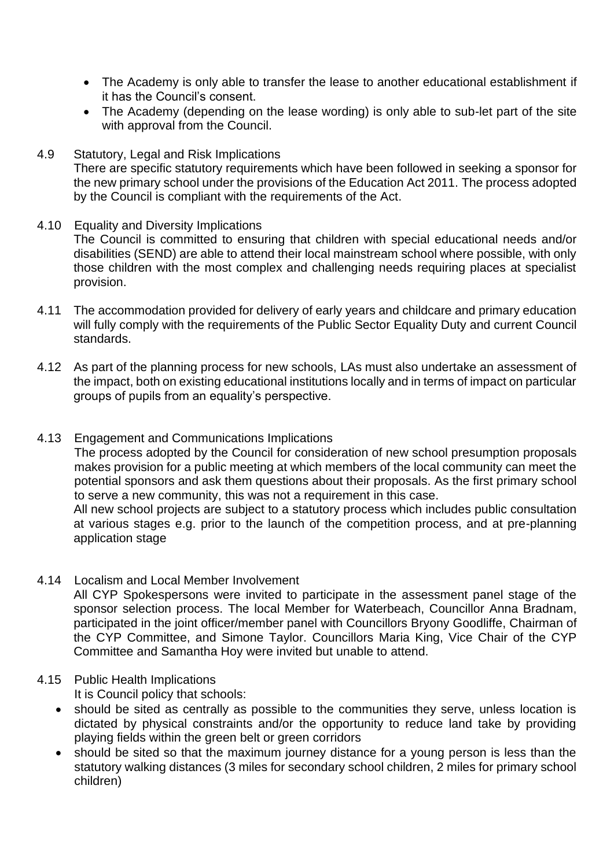- The Academy is only able to transfer the lease to another educational establishment if it has the Council's consent.
- The Academy (depending on the lease wording) is only able to sub-let part of the site with approval from the Council.
- 4.9 Statutory, Legal and Risk Implications There are specific statutory requirements which have been followed in seeking a sponsor for the new primary school under the provisions of the Education Act 2011. The process adopted by the Council is compliant with the requirements of the Act.
- 4.10 Equality and Diversity Implications The Council is committed to ensuring that children with special educational needs and/or disabilities (SEND) are able to attend their local mainstream school where possible, with only those children with the most complex and challenging needs requiring places at specialist provision.
- 4.11 The accommodation provided for delivery of early years and childcare and primary education will fully comply with the requirements of the Public Sector Equality Duty and current Council standards.
- 4.12 As part of the planning process for new schools, LAs must also undertake an assessment of the impact, both on existing educational institutions locally and in terms of impact on particular groups of pupils from an equality's perspective.
- 4.13 Engagement and Communications Implications

The process adopted by the Council for consideration of new school presumption proposals makes provision for a public meeting at which members of the local community can meet the potential sponsors and ask them questions about their proposals. As the first primary school to serve a new community, this was not a requirement in this case.

All new school projects are subject to a statutory process which includes public consultation at various stages e.g. prior to the launch of the competition process, and at pre-planning application stage

4.14 Localism and Local Member Involvement

All CYP Spokespersons were invited to participate in the assessment panel stage of the sponsor selection process. The local Member for Waterbeach, Councillor Anna Bradnam, participated in the joint officer/member panel with Councillors Bryony Goodliffe, Chairman of the CYP Committee, and Simone Taylor. Councillors Maria King, Vice Chair of the CYP Committee and Samantha Hoy were invited but unable to attend.

#### 4.15 Public Health Implications

It is Council policy that schools:

- should be sited as centrally as possible to the communities they serve, unless location is dictated by physical constraints and/or the opportunity to reduce land take by providing playing fields within the green belt or green corridors
- should be sited so that the maximum journey distance for a young person is less than the statutory walking distances (3 miles for secondary school children, 2 miles for primary school children)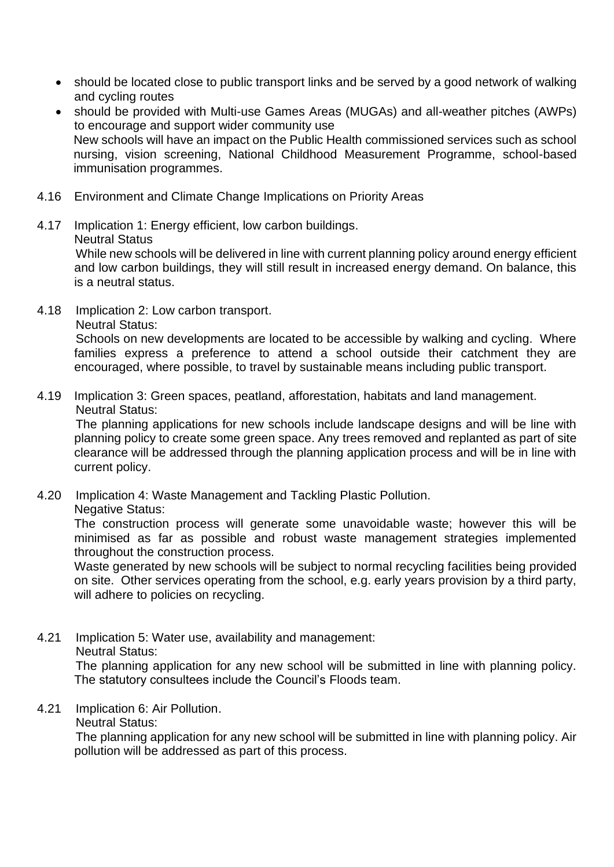- should be located close to public transport links and be served by a good network of walking and cycling routes
- should be provided with Multi-use Games Areas (MUGAs) and all-weather pitches (AWPs) to encourage and support wider community use New schools will have an impact on the Public Health commissioned services such as school nursing, vision screening, National Childhood Measurement Programme, school-based immunisation programmes.
- 4.16 Environment and Climate Change Implications on Priority Areas
- 4.17 Implication 1: Energy efficient, low carbon buildings. Neutral Status While new schools will be delivered in line with current planning policy around energy efficient and low carbon buildings, they will still result in increased energy demand. On balance, this is a neutral status.
- 4.18 Implication 2: Low carbon transport. Neutral Status:

Schools on new developments are located to be accessible by walking and cycling. Where families express a preference to attend a school outside their catchment they are encouraged, where possible, to travel by sustainable means including public transport.

4.19 Implication 3: Green spaces, peatland, afforestation, habitats and land management. Neutral Status:

The planning applications for new schools include landscape designs and will be line with planning policy to create some green space. Any trees removed and replanted as part of site clearance will be addressed through the planning application process and will be in line with current policy.

4.20 Implication 4: Waste Management and Tackling Plastic Pollution.

Negative Status:

The construction process will generate some unavoidable waste; however this will be minimised as far as possible and robust waste management strategies implemented throughout the construction process.

Waste generated by new schools will be subject to normal recycling facilities being provided on site. Other services operating from the school, e.g. early years provision by a third party, will adhere to policies on recycling.

4.21 Implication 5: Water use, availability and management: Neutral Status:

> The planning application for any new school will be submitted in line with planning policy. The statutory consultees include the Council's Floods team.

- 4.21 Implication 6: Air Pollution.
	- Neutral Status:

The planning application for any new school will be submitted in line with planning policy. Air pollution will be addressed as part of this process.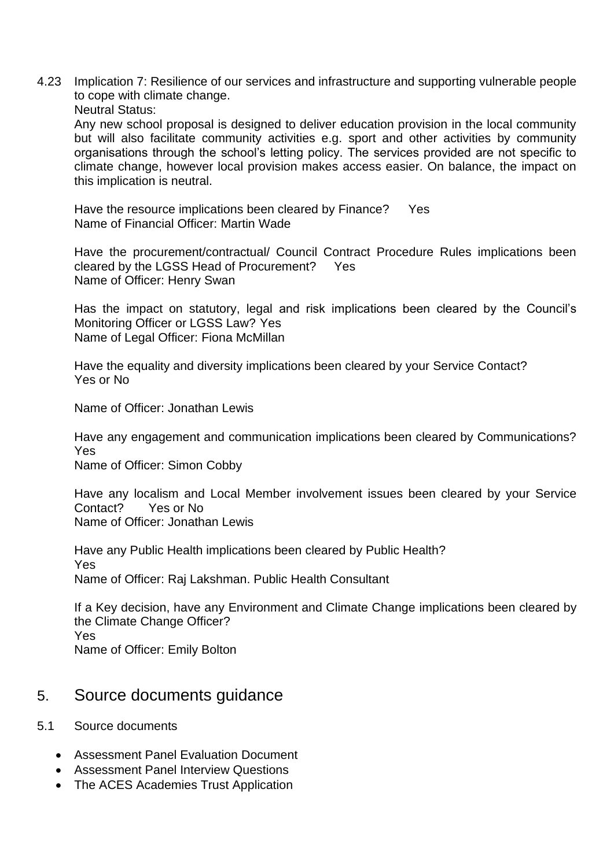4.23 Implication 7: Resilience of our services and infrastructure and supporting vulnerable people to cope with climate change.

Neutral Status:

Any new school proposal is designed to deliver education provision in the local community but will also facilitate community activities e.g. sport and other activities by community organisations through the school's letting policy. The services provided are not specific to climate change, however local provision makes access easier. On balance, the impact on this implication is neutral.

Have the resource implications been cleared by Finance? Yes Name of Financial Officer: Martin Wade

Have the procurement/contractual/ Council Contract Procedure Rules implications been cleared by the LGSS Head of Procurement? Yes Name of Officer: Henry Swan

Has the impact on statutory, legal and risk implications been cleared by the Council's Monitoring Officer or LGSS Law? Yes Name of Legal Officer: Fiona McMillan

Have the equality and diversity implications been cleared by your Service Contact? Yes or No

Name of Officer: Jonathan Lewis

Have any engagement and communication implications been cleared by Communications? Yes

Name of Officer: Simon Cobby

Have any localism and Local Member involvement issues been cleared by your Service Contact? Yes or No Name of Officer: Jonathan Lewis

Have any Public Health implications been cleared by Public Health? Yes Name of Officer: Raj Lakshman. Public Health Consultant

If a Key decision, have any Environment and Climate Change implications been cleared by the Climate Change Officer? Yes Name of Officer: Emily Bolton

### 5. Source documents guidance

- 5.1 Source documents
	- Assessment Panel Evaluation Document
	- Assessment Panel Interview Questions
	- The ACES Academies Trust Application